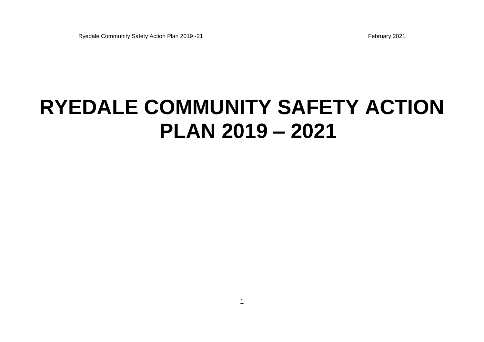# **RYEDALE COMMUNITY SAFETY ACTION PLAN 2019 – 2021**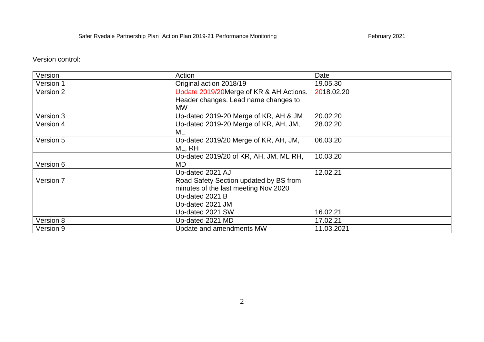Version control:

| Version   | Action                                  | Date       |
|-----------|-----------------------------------------|------------|
| Version 1 | Original action 2018/19                 | 19.05.30   |
| Version 2 | Update 2019/20Merge of KR & AH Actions. | 2018.02.20 |
|           | Header changes. Lead name changes to    |            |
|           | <b>MW</b>                               |            |
| Version 3 | Up-dated 2019-20 Merge of KR, AH & JM   | 20.02.20   |
| Version 4 | Up-dated 2019-20 Merge of KR, AH, JM,   | 28.02.20   |
|           | ML                                      |            |
| Version 5 | Up-dated 2019/20 Merge of KR, AH, JM,   | 06.03.20   |
|           | ML, RH                                  |            |
|           | Up-dated 2019/20 of KR, AH, JM, ML RH,  | 10.03.20   |
| Version 6 | <b>MD</b>                               |            |
|           | Up-dated 2021 AJ                        | 12.02.21   |
| Version 7 | Road Safety Section updated by BS from  |            |
|           | minutes of the last meeting Nov 2020    |            |
|           | Up-dated 2021 B                         |            |
|           | Up-dated 2021 JM                        |            |
|           | Up-dated 2021 SW                        | 16.02.21   |
| Version 8 | Up-dated 2021 MD                        | 17.02.21   |
| Version 9 | Update and amendments MW                | 11.03.2021 |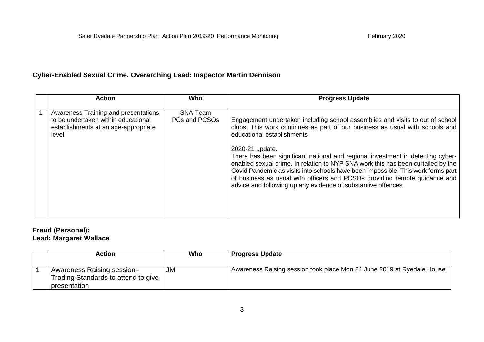## **Cyber-Enabled Sexual Crime. Overarching Lead: Inspector Martin Dennison**

| <b>Action</b>                                                                                                                | Who                              | <b>Progress Update</b>                                                                                                                                                                                                                                                                                                                                                                                                    |
|------------------------------------------------------------------------------------------------------------------------------|----------------------------------|---------------------------------------------------------------------------------------------------------------------------------------------------------------------------------------------------------------------------------------------------------------------------------------------------------------------------------------------------------------------------------------------------------------------------|
| Awareness Training and presentations<br>to be undertaken within educational<br>establishments at an age-appropriate<br>level | <b>SNA Team</b><br>PCs and PCSOs | Engagement undertaken including school assemblies and visits to out of school<br>clubs. This work continues as part of our business as usual with schools and<br>educational establishments                                                                                                                                                                                                                               |
|                                                                                                                              |                                  | 2020-21 update.<br>There has been significant national and regional investment in detecting cyber-<br>enabled sexual crime. In relation to NYP SNA work this has been curtailed by the<br>Covid Pandemic as visits into schools have been impossible. This work forms part<br>of business as usual with officers and PCSOs providing remote guidance and<br>advice and following up any evidence of substantive offences. |

# **Fraud (Personal): Lead: Margaret Wallace**

| Action                                                                            | Who | <b>Progress Update</b>                                                 |
|-----------------------------------------------------------------------------------|-----|------------------------------------------------------------------------|
| Awareness Raising session-<br>Trading Standards to attend to give<br>presentation | JM  | Awareness Raising session took place Mon 24 June 2019 at Ryedale House |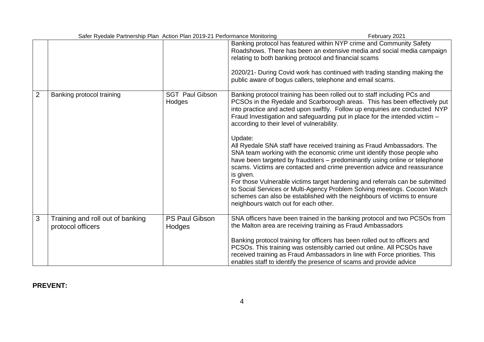| Safer Ryedale Partnership Plan Action Plan 2019-21 Performance Monitoring |                                  |                                                                                                                                                                                                                                                                                                                                                                                                                                                                                                                                                                                                                                                                                                                                                                                                                                                                                                                                                                                           | February 2021 |
|---------------------------------------------------------------------------|----------------------------------|-------------------------------------------------------------------------------------------------------------------------------------------------------------------------------------------------------------------------------------------------------------------------------------------------------------------------------------------------------------------------------------------------------------------------------------------------------------------------------------------------------------------------------------------------------------------------------------------------------------------------------------------------------------------------------------------------------------------------------------------------------------------------------------------------------------------------------------------------------------------------------------------------------------------------------------------------------------------------------------------|---------------|
|                                                                           |                                  | Banking protocol has featured within NYP crime and Community Safety<br>Roadshows. There has been an extensive media and social media campaign<br>relating to both banking protocol and financial scams<br>2020/21- During Covid work has continued with trading standing making the<br>public aware of bogus callers, telephone and email scams.                                                                                                                                                                                                                                                                                                                                                                                                                                                                                                                                                                                                                                          |               |
| $\overline{2}$<br>Banking protocol training                               | <b>SGT Paul Gibson</b><br>Hodges | Banking protocol training has been rolled out to staff including PCs and<br>PCSOs in the Ryedale and Scarborough areas. This has been effectively put<br>into practice and acted upon swiftly. Follow up enquiries are conducted NYP<br>Fraud Investigation and safeguarding put in place for the intended victim -<br>according to their level of vulnerability.<br>Update:<br>All Ryedale SNA staff have received training as Fraud Ambassadors. The<br>SNA team working with the economic crime unit identify those people who<br>have been targeted by fraudsters - predominantly using online or telephone<br>scams. Victims are contacted and crime prevention advice and reassurance<br>is given.<br>For those Vulnerable victims target hardening and referrals can be submitted<br>to Social Services or Multi-Agency Problem Solving meetings. Cocoon Watch<br>schemes can also be established with the neighbours of victims to ensure<br>neighbours watch out for each other. |               |
| 3<br>Training and roll out of banking<br>protocol officers                | <b>PS Paul Gibson</b><br>Hodges  | SNA officers have been trained in the banking protocol and two PCSOs from<br>the Malton area are receiving training as Fraud Ambassadors<br>Banking protocol training for officers has been rolled out to officers and<br>PCSOs. This training was ostensibly carried out online. All PCSOs have<br>received training as Fraud Ambassadors in line with Force priorities. This                                                                                                                                                                                                                                                                                                                                                                                                                                                                                                                                                                                                            |               |
|                                                                           |                                  | enables staff to identify the presence of scams and provide advice                                                                                                                                                                                                                                                                                                                                                                                                                                                                                                                                                                                                                                                                                                                                                                                                                                                                                                                        |               |

# **PREVENT:**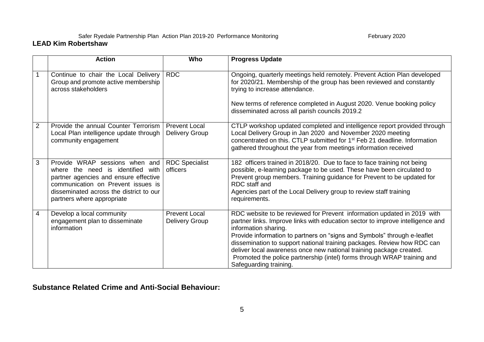#### Safer Ryedale Partnership Plan Action Plan 2019-20 Performance Monitoring February 2020 February 2020 **LEAD Kim Robertshaw**

|                | <b>Action</b>                                                                                                                                                                                                                  | Who                                    | <b>Progress Update</b>                                                                                                                                                                                                                                                                                                                                                                                                                                                                                               |
|----------------|--------------------------------------------------------------------------------------------------------------------------------------------------------------------------------------------------------------------------------|----------------------------------------|----------------------------------------------------------------------------------------------------------------------------------------------------------------------------------------------------------------------------------------------------------------------------------------------------------------------------------------------------------------------------------------------------------------------------------------------------------------------------------------------------------------------|
|                | Continue to chair the Local Delivery<br>Group and promote active membership<br>across stakeholders                                                                                                                             | <b>RDC</b>                             | Ongoing, quarterly meetings held remotely. Prevent Action Plan developed<br>for 2020/21. Membership of the group has been reviewed and constantly<br>trying to increase attendance.<br>New terms of reference completed in August 2020. Venue booking policy<br>disseminated across all parish councils 2019.2                                                                                                                                                                                                       |
| $\overline{2}$ | Provide the annual Counter Terrorism<br>Local Plan intelligence update through<br>community engagement                                                                                                                         | <b>Prevent Local</b><br>Delivery Group | CTLP workshop updated completed and intelligence report provided through<br>Local Delivery Group in Jan 2020 and November 2020 meeting<br>concentrated on this. CTLP submitted for 1 <sup>st</sup> Feb 21 deadline. Information<br>gathered throughout the year from meetings information received                                                                                                                                                                                                                   |
| 3              | Provide WRAP sessions when and<br>where the need is identified<br>with<br>partner agencies and ensure effective<br>communication on Prevent issues is<br>disseminated across the district to our<br>partners where appropriate | <b>RDC Specialist</b><br>officers      | 182 officers trained in 2018/20. Due to face to face training not being<br>possible, e-learning package to be used. These have been circulated to<br>Prevent group members. Training guidance for Prevent to be updated for<br>RDC staff and<br>Agencies part of the Local Delivery group to review staff training<br>requirements.                                                                                                                                                                                  |
| 4              | Develop a local community<br>engagement plan to disseminate<br>information                                                                                                                                                     | <b>Prevent Local</b><br>Delivery Group | RDC website to be reviewed for Prevent information updated in 2019 with<br>partner links. Improve links with education sector to improve intelligence and<br>information sharing.<br>Provide information to partners on "signs and Symbols" through e-leaflet<br>dissemination to support national training packages. Review how RDC can<br>deliver local awareness once new national training package created.<br>Promoted the police partnership (intel) forms through WRAP training and<br>Safeguarding training. |

**Substance Related Crime and Anti-Social Behaviour:**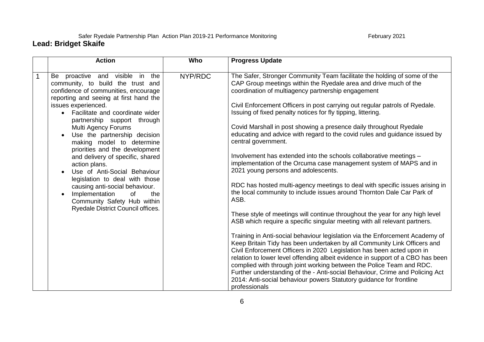#### Safer Ryedale Partnership Plan Action Plan 2019-21 Performance Monitoring February 2021 **Lead: Bridget Skaife**

#### **Action Who Progress Update** 1 Be proactive and visible in the community, to build the trust and confidence of communities, encourage reporting and seeing at first hand the issues experienced. • Facilitate and coordinate wider partnership support through Multi Agency Forums Use the partnership decision making model to determine priorities and the development and delivery of specific, shared action plans. Use of Anti-Social Behaviour legislation to deal with those causing anti-social behaviour. • Implementation of the Community Safety Hub within Ryedale District Council offices. NYP/RDC The Safer, Stronger Community Team facilitate the holding of some of the CAP Group meetings within the Ryedale area and drive much of the coordination of multiagency partnership engagement Civil Enforcement Officers in post carrying out regular patrols of Ryedale. Issuing of fixed penalty notices for fly tipping, littering. Covid Marshall in post showing a presence daily throughout Ryedale educating and advice with regard to the covid rules and guidance issued by central government. Involvement has extended into the schools collaborative meetings – implementation of the Orcuma case management system of MAPS and in 2021 young persons and adolescents. RDC has hosted multi-agency meetings to deal with specific issues arising in the local community to include issues around Thornton Dale Car Park of ASB. These style of meetings will continue throughout the year for any high level ASB which require a specific singular meeting with all relevant partners. Training in Anti-social behaviour legislation via the Enforcement Academy of Keep Britain Tidy has been undertaken by all Community Link Officers and Civil Enforcement Officers in 2020 Legislation has been acted upon in relation to lower level offending albeit evidence in support of a CBO has been complied with through joint working between the Police Team and RDC. Further understanding of the - Anti-social Behaviour, Crime and Policing Act 2014: Anti-social behaviour powers Statutory guidance for frontline professionals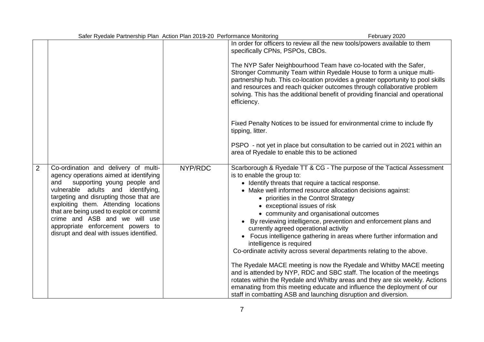| In order for officers to review all the new tools/powers available to them<br>specifically CPNs, PSPOs, CBOs.                                                                                                                                                                                                                                                                                                                                                                                                                                                                                                                                                                                                                                                                                                                                                                                                                                                                                                                                                                                                                                                                                                                                                                                                                                                                                                                                                       |  |
|---------------------------------------------------------------------------------------------------------------------------------------------------------------------------------------------------------------------------------------------------------------------------------------------------------------------------------------------------------------------------------------------------------------------------------------------------------------------------------------------------------------------------------------------------------------------------------------------------------------------------------------------------------------------------------------------------------------------------------------------------------------------------------------------------------------------------------------------------------------------------------------------------------------------------------------------------------------------------------------------------------------------------------------------------------------------------------------------------------------------------------------------------------------------------------------------------------------------------------------------------------------------------------------------------------------------------------------------------------------------------------------------------------------------------------------------------------------------|--|
|                                                                                                                                                                                                                                                                                                                                                                                                                                                                                                                                                                                                                                                                                                                                                                                                                                                                                                                                                                                                                                                                                                                                                                                                                                                                                                                                                                                                                                                                     |  |
| The NYP Safer Neighbourhood Team have co-located with the Safer,<br>Stronger Community Team within Ryedale House to form a unique multi-<br>partnership hub. This co-location provides a greater opportunity to pool skills<br>and resources and reach quicker outcomes through collaborative problem<br>solving. This has the additional benefit of providing financial and operational<br>efficiency.                                                                                                                                                                                                                                                                                                                                                                                                                                                                                                                                                                                                                                                                                                                                                                                                                                                                                                                                                                                                                                                             |  |
| Fixed Penalty Notices to be issued for environmental crime to include fly<br>tipping, litter.                                                                                                                                                                                                                                                                                                                                                                                                                                                                                                                                                                                                                                                                                                                                                                                                                                                                                                                                                                                                                                                                                                                                                                                                                                                                                                                                                                       |  |
| PSPO - not yet in place but consultation to be carried out in 2021 within an<br>area of Ryedale to enable this to be actioned                                                                                                                                                                                                                                                                                                                                                                                                                                                                                                                                                                                                                                                                                                                                                                                                                                                                                                                                                                                                                                                                                                                                                                                                                                                                                                                                       |  |
| NYP/RDC<br>$\overline{2}$<br>Co-ordination and delivery of multi-<br>Scarborough & Ryedale TT & CG - The purpose of the Tactical Assessment<br>agency operations aimed at identifying<br>is to enable the group to:<br>supporting young people and<br>• Identify threats that require a tactical response.<br>and<br>vulnerable adults and identifying,<br>• Make well informed resource allocation decisions against:<br>targeting and disrupting those that are<br>• priorities in the Control Strategy<br>exploiting them. Attending locations<br>• exceptional issues of risk<br>that are being used to exploit or commit<br>• community and organisational outcomes<br>crime and ASB and we will use<br>By reviewing intelligence, prevention and enforcement plans and<br>appropriate enforcement powers to<br>currently agreed operational activity<br>disrupt and deal with issues identified.<br>Focus intelligence gathering in areas where further information and<br>intelligence is required<br>Co-ordinate activity across several departments relating to the above.<br>The Ryedale MACE meeting is now the Ryedale and Whitby MACE meeting<br>and is attended by NYP, RDC and SBC staff. The location of the meetings<br>rotates within the Ryedale and Whitby areas and they are six weekly. Actions<br>emanating from this meeting educate and influence the deployment of our<br>staff in combatting ASB and launching disruption and diversion. |  |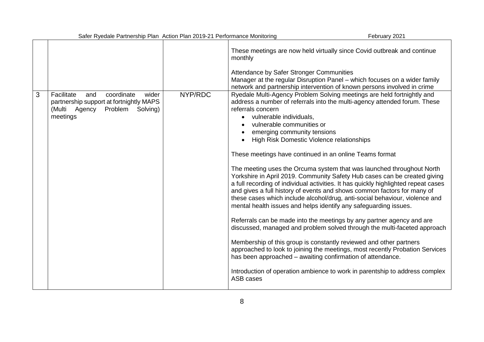|   | Safer Ryedale Partnership Plan Action Plan 2019-21 Performance Monitoring                                                               |         |                                                                                                                                                                                                                                                                                                                                                                                                                                                                                                                                                                                                                                                                                                                                                                                                                                                                                                                                                                                                                                                                                                                                                                                                                                                                                                                                     | February 2021 |
|---|-----------------------------------------------------------------------------------------------------------------------------------------|---------|-------------------------------------------------------------------------------------------------------------------------------------------------------------------------------------------------------------------------------------------------------------------------------------------------------------------------------------------------------------------------------------------------------------------------------------------------------------------------------------------------------------------------------------------------------------------------------------------------------------------------------------------------------------------------------------------------------------------------------------------------------------------------------------------------------------------------------------------------------------------------------------------------------------------------------------------------------------------------------------------------------------------------------------------------------------------------------------------------------------------------------------------------------------------------------------------------------------------------------------------------------------------------------------------------------------------------------------|---------------|
|   |                                                                                                                                         |         | These meetings are now held virtually since Covid outbreak and continue<br>monthly<br>Attendance by Safer Stronger Communities<br>Manager at the regular Disruption Panel - which focuses on a wider family<br>network and partnership intervention of known persons involved in crime                                                                                                                                                                                                                                                                                                                                                                                                                                                                                                                                                                                                                                                                                                                                                                                                                                                                                                                                                                                                                                              |               |
| 3 | Facilitate<br>wider<br>and<br>coordinate<br>partnership support at fortnightly MAPS<br>(Multi Agency<br>Problem<br>Solving)<br>meetings | NYP/RDC | Ryedale Multi-Agency Problem Solving meetings are held fortnightly and<br>address a number of referrals into the multi-agency attended forum. These<br>referrals concern<br>vulnerable individuals,<br>$\bullet$<br>vulnerable communities or<br>emerging community tensions<br>High Risk Domestic Violence relationships<br>These meetings have continued in an online Teams format<br>The meeting uses the Orcuma system that was launched throughout North<br>Yorkshire in April 2019. Community Safety Hub cases can be created giving<br>a full recording of individual activities. It has quickly highlighted repeat cases<br>and gives a full history of events and shows common factors for many of<br>these cases which include alcohol/drug, anti-social behaviour, violence and<br>mental health issues and helps identify any safeguarding issues.<br>Referrals can be made into the meetings by any partner agency and are<br>discussed, managed and problem solved through the multi-faceted approach<br>Membership of this group is constantly reviewed and other partners<br>approached to look to joining the meetings, most recently Probation Services<br>has been approached – awaiting confirmation of attendance.<br>Introduction of operation ambience to work in parentship to address complex<br>ASB cases |               |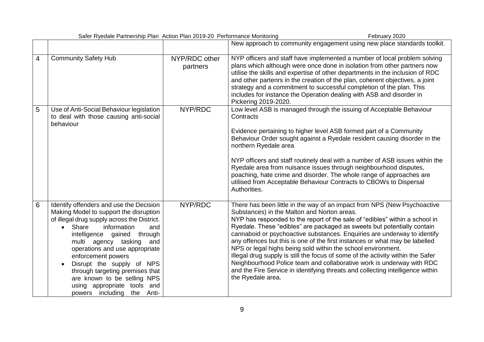| Safer Ryedale Partnership Plan Action Plan 2019-20 Performance Monitoring<br>February 2020 |                                                                                                                                                                                                                                                                                                                                                                                                                                                                        |                           |                                                                                                                                                                                                                                                                                                                                                                                                                                                                                                                                                                                                                                                                                                                                                                                 |
|--------------------------------------------------------------------------------------------|------------------------------------------------------------------------------------------------------------------------------------------------------------------------------------------------------------------------------------------------------------------------------------------------------------------------------------------------------------------------------------------------------------------------------------------------------------------------|---------------------------|---------------------------------------------------------------------------------------------------------------------------------------------------------------------------------------------------------------------------------------------------------------------------------------------------------------------------------------------------------------------------------------------------------------------------------------------------------------------------------------------------------------------------------------------------------------------------------------------------------------------------------------------------------------------------------------------------------------------------------------------------------------------------------|
|                                                                                            |                                                                                                                                                                                                                                                                                                                                                                                                                                                                        |                           | New approach to community engagement using new place standards toolkit.                                                                                                                                                                                                                                                                                                                                                                                                                                                                                                                                                                                                                                                                                                         |
| 4                                                                                          | <b>Community Safety Hub</b>                                                                                                                                                                                                                                                                                                                                                                                                                                            | NYP/RDC other<br>partners | NYP officers and staff have implemented a number of local problem solving<br>plans which although were once done in isolation from other partners now<br>utilise the skills and expertise of other departments in the inclusion of RDC<br>and other partenrs in the creation of the plan, coherent objectives, a joint<br>strategy and a commitment to successful completion of the plan. This<br>includes for instance the Operation dealing with ASB and disorder in<br>Pickering 2019-2020.                                                                                                                                                                                                                                                                                  |
| 5                                                                                          | Use of Anti-Social Behaviour legislation<br>to deal with those causing anti-social<br>behaviour                                                                                                                                                                                                                                                                                                                                                                        | NYP/RDC                   | Low level ASB is managed through the issuing of Acceptable Behaviour<br>Contracts<br>Evidence pertaining to higher level ASB formed part of a Community<br>Behaviour Order sought against a Ryedale resident causing disorder in the<br>northern Ryedale area<br>NYP officers and staff routinely deal with a number of ASB issues within the<br>Ryedale area from nuisance issues through neighbourhood disputes,<br>poaching, hate crime and disorder. The whole range of approaches are<br>utilised from Acceptable Behaviour Contracts to CBOWs to Dispersal<br>Authorities.                                                                                                                                                                                                |
| $6\phantom{1}6$                                                                            | Identify offenders and use the Decision<br>Making Model to support the disruption<br>of illegal drug supply across the District.<br>• Share<br>information<br>and<br>intelligence gained through<br>multi agency tasking<br>and<br>operations and use appropriate<br>enforcement powers<br>Disrupt the supply of NPS<br>$\bullet$<br>through targeting premises that<br>are known to be selling NPS<br>using appropriate tools and<br>powers including<br>the<br>Anti- | NYP/RDC                   | There has been little in the way of an impact from NPS (New Psychoactive<br>Substances) in the Malton and Norton areas.<br>NYP has responded to the report of the sale of "edibles" within a school in<br>Ryedale. These "edibles" are packaged as sweets but potentially contain<br>cannaboid or psychoactive substances. Enquiries are underway to identify<br>any offences but this is one of the first instances or what may be labelled<br>NPS or legal highs being sold within the school environment.<br>Illegal drug supply is still the focus of some of the activity within the Safer<br>Neighbourhood Police team and collaborative work is underway with RDC<br>and the Fire Service in identifying threats and collecting intelligence within<br>the Ryedale area. |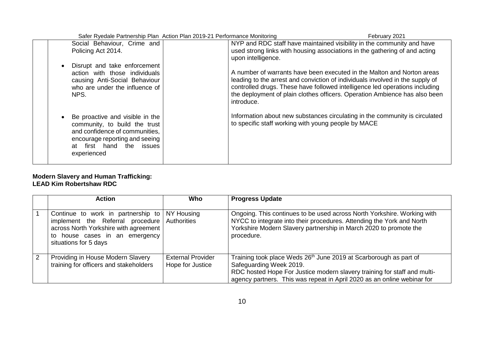|             | Safer Ryedale Partnership Plan Action Plan 2019-21 Performance Monitoring                                                                                        |                                                     | February 2021                                                                                                                                                                                                                                                                                                        |
|-------------|------------------------------------------------------------------------------------------------------------------------------------------------------------------|-----------------------------------------------------|----------------------------------------------------------------------------------------------------------------------------------------------------------------------------------------------------------------------------------------------------------------------------------------------------------------------|
|             | Social Behaviour, Crime and                                                                                                                                      |                                                     | NYP and RDC staff have maintained visibility in the community and have                                                                                                                                                                                                                                               |
|             | Policing Act 2014.                                                                                                                                               | upon intelligence.                                  | used strong links with housing associations in the gathering of and acting                                                                                                                                                                                                                                           |
| NPS.        | Disrupt and take enforcement<br>action with those individuals<br>causing Anti-Social Behaviour<br>who are under the influence of                                 | introduce.                                          | A number of warrants have been executed in the Malton and Norton areas<br>leading to the arrest and conviction of individuals involved in the supply of<br>controlled drugs. These have followed intelligence led operations including<br>the deployment of plain clothes officers. Operation Ambience has also been |
| experienced | Be proactive and visible in the<br>community, to build the trust<br>and confidence of communities,<br>encourage reporting and seeing<br>at first hand the issues | to specific staff working with young people by MACE | Information about new substances circulating in the community is circulated                                                                                                                                                                                                                                          |

#### **Modern Slavery and Human Trafficking: LEAD Kim Robertshaw RDC**

|   | Action                                                                                                                                                                                            | <b>Who</b>                                   | <b>Progress Update</b>                                                                                                                                                                                                                                          |
|---|---------------------------------------------------------------------------------------------------------------------------------------------------------------------------------------------------|----------------------------------------------|-----------------------------------------------------------------------------------------------------------------------------------------------------------------------------------------------------------------------------------------------------------------|
|   | Continue to work in partnership to NY Housing<br>implement the Referral procedure Authorities<br>across North Yorkshire with agreement<br>to house cases in an emergency<br>situations for 5 days |                                              | Ongoing. This continues to be used across North Yorkshire. Working with<br>NYCC to integrate into their procedures. Attending the York and North<br>Yorkshire Modern Slavery partnership in March 2020 to promote the<br>procedure.                             |
| 2 | Providing in House Modern Slavery<br>training for officers and stakeholders                                                                                                                       | <b>External Provider</b><br>Hope for Justice | Training took place Weds 26 <sup>th</sup> June 2019 at Scarborough as part of<br>Safeguarding Week 2019.<br>RDC hosted Hope For Justice modern slavery training for staff and multi-<br>agency partners. This was repeat in April 2020 as an online webinar for |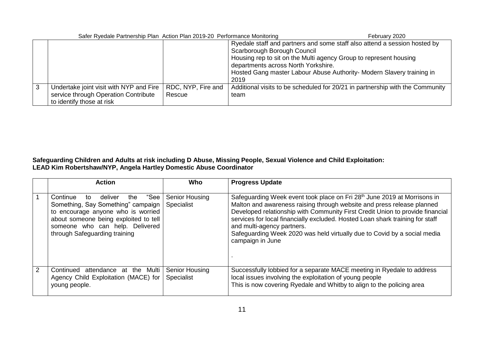| Safer Ryedale Partnership Plan Action Plan 2019-20 Performance Monitoring                                    |                              |                                                                                                                                                                                                                                                                                                       | February 2020 |
|--------------------------------------------------------------------------------------------------------------|------------------------------|-------------------------------------------------------------------------------------------------------------------------------------------------------------------------------------------------------------------------------------------------------------------------------------------------------|---------------|
|                                                                                                              |                              | Ryedale staff and partners and some staff also attend a session hosted by<br>Scarborough Borough Council<br>Housing rep to sit on the Multi agency Group to represent housing<br>departments across North Yorkshire.<br>Hosted Gang master Labour Abuse Authority- Modern Slavery training in<br>2019 |               |
| Undertake joint visit with NYP and Fire<br>service through Operation Contribute<br>to identify those at risk | RDC, NYP, Fire and<br>Rescue | Additional visits to be scheduled for 20/21 in partnership with the Community<br>team                                                                                                                                                                                                                 |               |

#### **Safeguarding Children and Adults at risk including D Abuse, Missing People, Sexual Violence and Child Exploitation: LEAD Kim Robertshaw/NYP, Angela Hartley Domestic Abuse Coordinator**

|               | <b>Action</b>                                                                                                                                                                                                                       | Who                                 | <b>Progress Update</b>                                                                                                                                                                                                                                                                                                                                                                                                                                         |
|---------------|-------------------------------------------------------------------------------------------------------------------------------------------------------------------------------------------------------------------------------------|-------------------------------------|----------------------------------------------------------------------------------------------------------------------------------------------------------------------------------------------------------------------------------------------------------------------------------------------------------------------------------------------------------------------------------------------------------------------------------------------------------------|
|               | "See l<br>deliver<br>Continue<br>the<br>to<br>Something, Say Something" campaign<br>to encourage anyone who is worried<br>about someone being exploited to tell<br>someone who can help. Delivered<br>through Safeguarding training | <b>Senior Housing</b><br>Specialist | Safeguarding Week event took place on Fri 28 <sup>th</sup> June 2019 at Morrisons in<br>Malton and awareness raising through website and press release planned<br>Developed relationship with Community First Credit Union to provide financial<br>services for local financially excluded. Hosted Loan shark training for staff<br>and multi-agency partners.<br>Safeguarding Week 2020 was held virtually due to Covid by a social media<br>campaign in June |
| $\mathcal{P}$ | Continued attendance at the Multi<br>Agency Child Exploitation (MACE) for<br>young people.                                                                                                                                          | <b>Senior Housing</b><br>Specialist | Successfully lobbied for a separate MACE meeting in Ryedale to address<br>local issues involving the exploitation of young people<br>This is now covering Ryedale and Whitby to align to the policing area                                                                                                                                                                                                                                                     |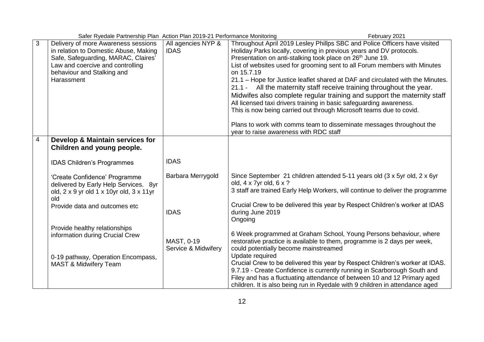|   | Safer Ryedale Partnership Plan Action Plan 2019-21 Performance Monitoring                                                                                                                           |                                   | February 2021                                                                                                                                                                                                                                                                                                                                                                                                                                                                                                                                                                                                                                                                                                                                                                                                             |
|---|-----------------------------------------------------------------------------------------------------------------------------------------------------------------------------------------------------|-----------------------------------|---------------------------------------------------------------------------------------------------------------------------------------------------------------------------------------------------------------------------------------------------------------------------------------------------------------------------------------------------------------------------------------------------------------------------------------------------------------------------------------------------------------------------------------------------------------------------------------------------------------------------------------------------------------------------------------------------------------------------------------------------------------------------------------------------------------------------|
| 3 | Delivery of more Awareness sessions<br>in relation to Domestic Abuse, Making<br>Safe, Safeguarding, MARAC, Claires'<br>Law and coercive and controlling<br>behaviour and Stalking and<br>Harassment | All agencies NYP &<br><b>IDAS</b> | Throughout April 2019 Lesley Phillps SBC and Police Officers have visited<br>Holiday Parks locally, covering in previous years and DV protocols.<br>Presentation on anti-stalking took place on 26 <sup>th</sup> June 19.<br>List of websites used for grooming sent to all Forum members with Minutes<br>on 15.7.19<br>21.1 - Hope for Justice leaflet shared at DAF and circulated with the Minutes.<br>21.1 - All the maternity staff receive training throughout the year.<br>Midwifes also complete regular training and support the maternity staff<br>All licensed taxi drivers training in basic safeguarding awareness.<br>This is now being carried out through Microsoft teams due to covid.<br>Plans to work with comms team to disseminate messages throughout the<br>year to raise awareness with RDC staff |
| 4 | Develop & Maintain services for                                                                                                                                                                     |                                   |                                                                                                                                                                                                                                                                                                                                                                                                                                                                                                                                                                                                                                                                                                                                                                                                                           |
|   | Children and young people.                                                                                                                                                                          |                                   |                                                                                                                                                                                                                                                                                                                                                                                                                                                                                                                                                                                                                                                                                                                                                                                                                           |
|   |                                                                                                                                                                                                     |                                   |                                                                                                                                                                                                                                                                                                                                                                                                                                                                                                                                                                                                                                                                                                                                                                                                                           |
|   | <b>IDAS Children's Programmes</b>                                                                                                                                                                   | <b>IDAS</b>                       |                                                                                                                                                                                                                                                                                                                                                                                                                                                                                                                                                                                                                                                                                                                                                                                                                           |
|   | 'Create Confidence' Programme<br>delivered by Early Help Services. 8yr<br>old, 2 x 9 yr old 1 x 10yr old, 3 x 11yr<br>old                                                                           | Barbara Merrygold                 | Since September 21 children attended 5-11 years old (3 x 5yr old, 2 x 6yr<br>old, 4 x 7yr old, 6 x ?<br>3 staff are trained Early Help Workers, will continue to deliver the programme                                                                                                                                                                                                                                                                                                                                                                                                                                                                                                                                                                                                                                    |
|   | Provide data and outcomes etc                                                                                                                                                                       | <b>IDAS</b>                       | Crucial Crew to be delivered this year by Respect Children's worker at IDAS<br>during June 2019<br>Ongoing                                                                                                                                                                                                                                                                                                                                                                                                                                                                                                                                                                                                                                                                                                                |
|   | Provide healthy relationships<br>information during Crucial Crew                                                                                                                                    | MAST, 0-19<br>Service & Midwifery | 6 Week programmed at Graham School, Young Persons behaviour, where<br>restorative practice is available to them, programme is 2 days per week,<br>could potentially become mainstreamed                                                                                                                                                                                                                                                                                                                                                                                                                                                                                                                                                                                                                                   |
|   | 0-19 pathway, Operation Encompass,<br><b>MAST &amp; Midwifery Team</b>                                                                                                                              |                                   | Update required<br>Crucial Crew to be delivered this year by Respect Children's worker at IDAS.<br>9.7.19 - Create Confidence is currently running in Scarborough South and<br>Filey and has a fluctuating attendance of between 10 and 12 Primary aged<br>children. It is also being run in Ryedale with 9 children in attendance aged                                                                                                                                                                                                                                                                                                                                                                                                                                                                                   |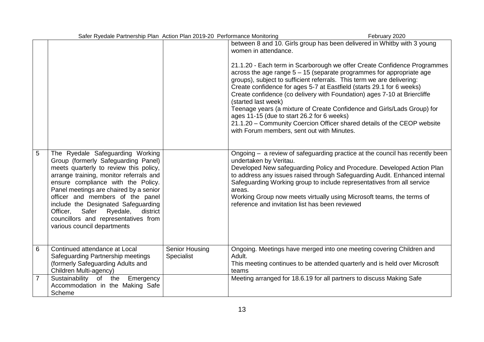| Safer Ryedale Partnership Plan Action Plan 2019-20 Performance Monitoring<br>February 2020 |                                                                                                                                                                                                                                                                                                                                                                                                                                          |                              |                                                                                                                                                                                                                                                                                                                                                                                                                                                                                                                                                                                                                                                                                                                                                               |  |
|--------------------------------------------------------------------------------------------|------------------------------------------------------------------------------------------------------------------------------------------------------------------------------------------------------------------------------------------------------------------------------------------------------------------------------------------------------------------------------------------------------------------------------------------|------------------------------|---------------------------------------------------------------------------------------------------------------------------------------------------------------------------------------------------------------------------------------------------------------------------------------------------------------------------------------------------------------------------------------------------------------------------------------------------------------------------------------------------------------------------------------------------------------------------------------------------------------------------------------------------------------------------------------------------------------------------------------------------------------|--|
|                                                                                            |                                                                                                                                                                                                                                                                                                                                                                                                                                          |                              | between 8 and 10. Girls group has been delivered in Whitby with 3 young<br>women in attendance.<br>21.1.20 - Each term in Scarborough we offer Create Confidence Programmes<br>across the age range $5 - 15$ (separate programmes for appropriate age<br>groups), subject to sufficient referrals. This term we are delivering:<br>Create confidence for ages 5-7 at Eastfield (starts 29.1 for 6 weeks)<br>Create confidence (co delivery with Foundation) ages 7-10 at Briercliffe<br>(started last week)<br>Teenage years (a mixture of Create Confidence and Girls/Lads Group) for<br>ages 11-15 (due to start 26.2 for 6 weeks)<br>21.1.20 - Community Coercion Officer shared details of the CEOP website<br>with Forum members, sent out with Minutes. |  |
| 5                                                                                          | The Ryedale Safeguarding Working<br>Group (formerly Safeguarding Panel)<br>meets quarterly to review this policy,<br>arrange training, monitor referrals and<br>ensure compliance with the Policy.<br>Panel meetings are chaired by a senior<br>officer and members of the panel<br>include the Designated Safeguarding<br>Safer Ryedale,<br>district<br>Officer,<br>councillors and representatives from<br>various council departments |                              | Ongoing - a review of safeguarding practice at the council has recently been<br>undertaken by Veritau.<br>Developed New safeguarding Policy and Procedure. Developed Action Plan<br>to address any issues raised through Safeguarding Audit. Enhanced internal<br>Safeguarding Working group to include representatives from all service<br>areas.<br>Working Group now meets virtually using Microsoft teams, the terms of<br>reference and invitation list has been reviewed                                                                                                                                                                                                                                                                                |  |
| 6                                                                                          | Continued attendance at Local<br>Safeguarding Partnership meetings<br>(formerly Safeguarding Adults and<br>Children Multi-agency)                                                                                                                                                                                                                                                                                                        | Senior Housing<br>Specialist | Ongoing. Meetings have merged into one meeting covering Children and<br>Adult.<br>This meeting continues to be attended quarterly and is held over Microsoft<br>teams                                                                                                                                                                                                                                                                                                                                                                                                                                                                                                                                                                                         |  |
| $\overline{7}$                                                                             | Sustainability of the Emergency<br>Accommodation in the Making Safe<br>Scheme                                                                                                                                                                                                                                                                                                                                                            |                              | Meeting arranged for 18.6.19 for all partners to discuss Making Safe                                                                                                                                                                                                                                                                                                                                                                                                                                                                                                                                                                                                                                                                                          |  |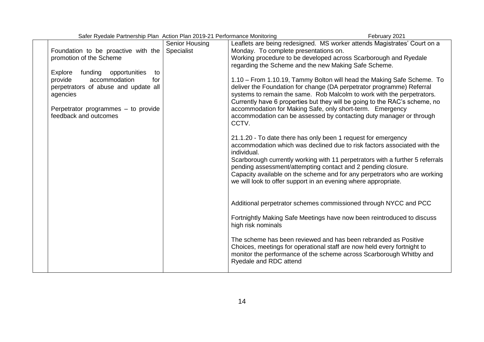| Safer Ryedale Partnership Plan Action Plan 2019-21 Performance Monitoring                                                                                                                               |                              |                                                                                               | February 2021                                                                                                                                                                                                                                                                                                                                                                                                                               |
|---------------------------------------------------------------------------------------------------------------------------------------------------------------------------------------------------------|------------------------------|-----------------------------------------------------------------------------------------------|---------------------------------------------------------------------------------------------------------------------------------------------------------------------------------------------------------------------------------------------------------------------------------------------------------------------------------------------------------------------------------------------------------------------------------------------|
| Foundation to be proactive with the<br>promotion of the Scheme                                                                                                                                          | Senior Housing<br>Specialist | Monday. To complete presentations on.<br>regarding the Scheme and the new Making Safe Scheme. | Leaflets are being redesigned. MS worker attends Magistrates' Court on a<br>Working procedure to be developed across Scarborough and Ryedale                                                                                                                                                                                                                                                                                                |
| <b>Explore</b><br>funding<br>opportunities<br>to<br>provide<br>accommodation<br>for<br>perpetrators of abuse and update all<br>agencies<br>Perpetrator programmes - to provide<br>feedback and outcomes |                              | CCTV.                                                                                         | 1.10 - From 1.10.19, Tammy Bolton will head the Making Safe Scheme. To<br>deliver the Foundation for change (DA perpetrator programme) Referral<br>systems to remain the same. Rob Malcolm to work with the perpetrators.<br>Currently have 6 properties but they will be going to the RAC's scheme, no<br>accommodation for Making Safe, only short-term. Emergency<br>accommodation can be assessed by contacting duty manager or through |
|                                                                                                                                                                                                         |                              | individual.                                                                                   | 21.1.20 - To date there has only been 1 request for emergency<br>accommodation which was declined due to risk factors associated with the<br>Scarborough currently working with 11 perpetrators with a further 5 referrals<br>pending assessment/attempting contact and 2 pending closure.<br>Capacity available on the scheme and for any perpetrators who are working<br>we will look to offer support in an evening where appropriate.   |
|                                                                                                                                                                                                         |                              | high risk nominals                                                                            | Additional perpetrator schemes commissioned through NYCC and PCC<br>Fortnightly Making Safe Meetings have now been reintroduced to discuss                                                                                                                                                                                                                                                                                                  |
|                                                                                                                                                                                                         |                              | Ryedale and RDC attend                                                                        | The scheme has been reviewed and has been rebranded as Positive<br>Choices, meetings for operational staff are now held every fortnight to<br>monitor the performance of the scheme across Scarborough Whitby and                                                                                                                                                                                                                           |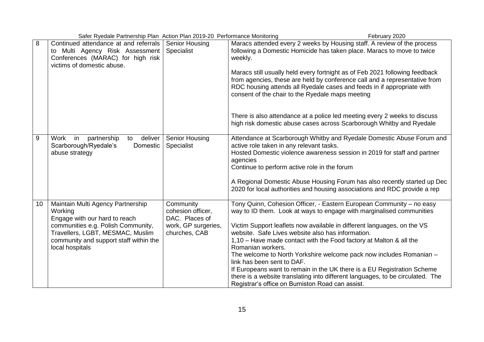|    | Safer Ryedale Partnership Plan Action Plan 2019-20 Performance Monitoring<br>February 2020                                                                                                                           |                                                                                          |                                                                                                                                                                                                                                                                                                                                                                                                                                                                                                                                                                                                                                                                                               |
|----|----------------------------------------------------------------------------------------------------------------------------------------------------------------------------------------------------------------------|------------------------------------------------------------------------------------------|-----------------------------------------------------------------------------------------------------------------------------------------------------------------------------------------------------------------------------------------------------------------------------------------------------------------------------------------------------------------------------------------------------------------------------------------------------------------------------------------------------------------------------------------------------------------------------------------------------------------------------------------------------------------------------------------------|
| 8  | Continued attendance at and referrals<br>to Multi Agency Risk Assessment<br>Conferences (MARAC) for high risk<br>victims of domestic abuse.                                                                          | <b>Senior Housing</b><br>Specialist                                                      | Maracs attended every 2 weeks by Housing staff. A review of the process<br>following a Domestic Homicide has taken place. Maracs to move to twice<br>weekly.<br>Maracs still usually held every fortnight as of Feb 2021 following feedback<br>from agencies, these are held by conference call and a representative from<br>RDC housing attends all Ryedale cases and feeds in if appropriate with<br>consent of the chair to the Ryedale maps meeting                                                                                                                                                                                                                                       |
|    |                                                                                                                                                                                                                      |                                                                                          | There is also attendance at a police led meeting every 2 weeks to discuss<br>high risk domestic abuse cases across Scarborough Whitby and Ryedale                                                                                                                                                                                                                                                                                                                                                                                                                                                                                                                                             |
| 9  | Work<br>partnership<br>deliver<br>in<br>to<br>Scarborough/Ryedale's<br>Domestic<br>abuse strategy                                                                                                                    | Senior Housing<br>Specialist                                                             | Attendance at Scarborough Whitby and Ryedale Domestic Abuse Forum and<br>active role taken in any relevant tasks.<br>Hosted Domestic violence awareness session in 2019 for staff and partner<br>agencies<br>Continue to perform active role in the forum<br>A Regional Domestic Abuse Housing Forum has also recently started up Dec<br>2020 for local authorities and housing associations and RDC provide a rep                                                                                                                                                                                                                                                                            |
| 10 | Maintain Multi Agency Partnership<br>Working<br>Engage with our hard to reach<br>communities e.g. Polish Community,<br>Travellers, LGBT, MESMAC, Muslim<br>community and support staff within the<br>local hospitals | Community<br>cohesion officer,<br>DAC. Places of<br>work, GP surgeries,<br>churches, CAB | Tony Quinn, Cohesion Officer, - Eastern European Community - no easy<br>way to ID them. Look at ways to engage with marginalised communities<br>Victim Support leaflets now available in different languages, on the VS<br>website. Safe Lives website also has information.<br>1,10 - Have made contact with the Food factory at Malton & all the<br>Romanian workers.<br>The welcome to North Yorkshire welcome pack now includes Romanian -<br>link has been sent to DAF.<br>If Europeans want to remain in the UK there is a EU Registration Scheme<br>there is a website translating into different languages, to be circulated. The<br>Registrar's office on Burniston Road can assist. |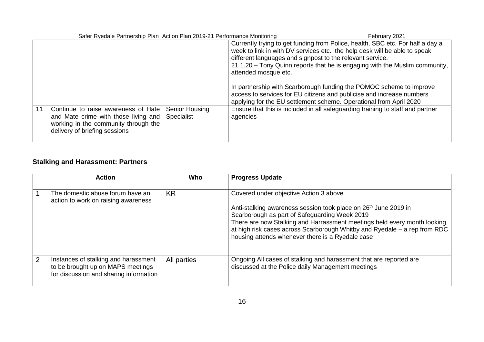| Safer Ryedale Partnership Plan Action Plan 2019-21 Performance Monitoring |                                                                                                                                                      |                              | February 2021                                                                                                                                                                                                                                                                                                                                                                                                                                                                                                                                         |  |
|---------------------------------------------------------------------------|------------------------------------------------------------------------------------------------------------------------------------------------------|------------------------------|-------------------------------------------------------------------------------------------------------------------------------------------------------------------------------------------------------------------------------------------------------------------------------------------------------------------------------------------------------------------------------------------------------------------------------------------------------------------------------------------------------------------------------------------------------|--|
|                                                                           |                                                                                                                                                      |                              | Currently trying to get funding from Police, health, SBC etc. For half a day a<br>week to link in with DV services etc. the help desk will be able to speak<br>different languages and signpost to the relevant service.<br>21.1.20 - Tony Quinn reports that he is engaging with the Muslim community,<br>attended mosque etc.<br>In partnership with Scarborough funding the POMOC scheme to improve<br>access to services for EU citizens and publicise and increase numbers<br>applying for the EU settlement scheme. Operational from April 2020 |  |
| .11                                                                       | Continue to raise awareness of Hate<br>and Mate crime with those living and<br>working in the community through the<br>delivery of briefing sessions | Senior Housing<br>Specialist | Ensure that this is included in all safeguarding training to staff and partner<br>agencies                                                                                                                                                                                                                                                                                                                                                                                                                                                            |  |

# **Stalking and Harassment: Partners**

|                | <b>Action</b>                                                                                                       | Who         | <b>Progress Update</b>                                                                                                                                                                                                                                                                                                                                                              |
|----------------|---------------------------------------------------------------------------------------------------------------------|-------------|-------------------------------------------------------------------------------------------------------------------------------------------------------------------------------------------------------------------------------------------------------------------------------------------------------------------------------------------------------------------------------------|
|                | The domestic abuse forum have an<br>action to work on raising awareness                                             | KR          | Covered under objective Action 3 above<br>Anti-stalking awareness session took place on 26 <sup>th</sup> June 2019 in<br>Scarborough as part of Safeguarding Week 2019<br>There are now Stalking and Harrassment meetings held every month looking<br>at high risk cases across Scarborough Whitby and Ryedale – a rep from RDC<br>housing attends whenever there is a Ryedale case |
| $\overline{2}$ | Instances of stalking and harassment<br>to be brought up on MAPS meetings<br>for discussion and sharing information | All parties | Ongoing All cases of stalking and harassment that are reported are<br>discussed at the Police daily Management meetings                                                                                                                                                                                                                                                             |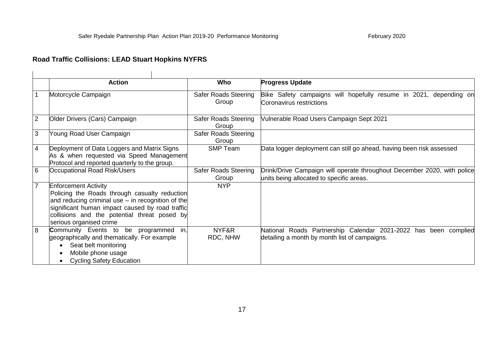# **Road Traffic Collisions: LEAD Stuart Hopkins NYFRS**

|                | <b>Action</b>                                                                                                                                                                                                                                                   | Who                                  | <b>Progress Update</b>                                                                                              |
|----------------|-----------------------------------------------------------------------------------------------------------------------------------------------------------------------------------------------------------------------------------------------------------------|--------------------------------------|---------------------------------------------------------------------------------------------------------------------|
|                | Motorcycle Campaign                                                                                                                                                                                                                                             | <b>Safer Roads Steering</b><br>Group | Bike Safety campaigns will hopefully resume in 2021, depending on<br>Coronavirus restrictions                       |
| 2              | Older Drivers (Cars) Campaign                                                                                                                                                                                                                                   | <b>Safer Roads Steering</b><br>Group | Vulnerable Road Users Campaign Sept 2021                                                                            |
| 3              | Young Road User Campaign                                                                                                                                                                                                                                        | <b>Safer Roads Steering</b><br>Group |                                                                                                                     |
| 4              | Deployment of Data Loggers and Matrix Signs<br>As & when requested via Speed Management<br>Protocol and reported quarterly to the group.                                                                                                                        | <b>SMP Team</b>                      | Data logger deployment can still go ahead, having been risk assessed                                                |
| 6              | Occupational Road Risk/Users                                                                                                                                                                                                                                    | Safer Roads Steering<br>Group        | Drink/Drive Campaign will operate throughout December 2020, with police<br>units being allocated to specific areas. |
| $\overline{7}$ | <b>Enforcement Activity</b><br>Policing the Roads through casualty reduction<br>and reducing criminal use - in recognition of the<br>significant human impact caused by road traffic<br>collisions and the potential threat posed by<br>serious organised crime | <b>NYP</b>                           |                                                                                                                     |
| 8              | Community Events to be programmed in,<br>geographically and thematically. For example<br>Seat belt monitoring<br>Mobile phone usage<br><b>Cycling Safety Education</b>                                                                                          | NYF&R<br>RDC, NHW                    | National Roads Partnership Calendar 2021-2022 has been complied<br>detailing a month by month list of campaigns.    |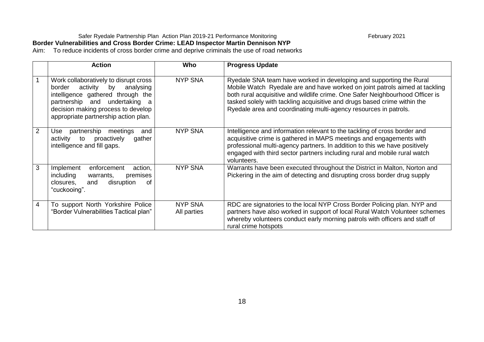### Safer Ryedale Partnership Plan Action Plan 2019-21 Performance Monitoring February 2021 **Border Vulnerabilities and Cross Border Crime: LEAD Inspector Martin Dennison NYP**

Aim: To reduce incidents of cross border crime and deprive criminals the use of road networks

|   | <b>Action</b>                                                                                                                                                                                                                   | Who                           | <b>Progress Update</b>                                                                                                                                                                                                                                                                                                                                                              |
|---|---------------------------------------------------------------------------------------------------------------------------------------------------------------------------------------------------------------------------------|-------------------------------|-------------------------------------------------------------------------------------------------------------------------------------------------------------------------------------------------------------------------------------------------------------------------------------------------------------------------------------------------------------------------------------|
|   | Work collaboratively to disrupt cross<br>activity by<br>border<br>analysing<br>intelligence gathered through the<br>partnership and undertaking a<br>decision making process to develop<br>appropriate partnership action plan. | <b>NYP SNA</b>                | Ryedale SNA team have worked in developing and supporting the Rural<br>Mobile Watch Ryedale are and have worked on joint patrols aimed at tackling<br>both rural acquisitive and wildlife crime. One Safer Neighbourhood Officer is<br>tasked solely with tackling acquisitive and drugs based crime within the<br>Ryedale area and coordinating multi-agency resources in patrols. |
| 2 | partnership<br>meetings<br>Use<br>and<br>proactively<br>activity to<br>gather<br>intelligence and fill gaps.                                                                                                                    | <b>NYP SNA</b>                | Intelligence and information relevant to the tackling of cross border and<br>acquisitive crime is gathered in MAPS meetings and engagements with<br>professional multi-agency partners. In addition to this we have positively<br>engaged with third sector partners including rural and mobile rural watch<br>volunteers.                                                          |
| 3 | enforcement<br>action,<br>Implement<br>including<br>premises<br>warrants,<br>closures,<br>disruption<br>and<br>0f<br>"cuckooing".                                                                                               | <b>NYP SNA</b>                | Warrants have been executed throughout the District in Malton, Norton and<br>Pickering in the aim of detecting and disrupting cross border drug supply                                                                                                                                                                                                                              |
| 4 | To support North Yorkshire Police<br>"Border Vulnerabilities Tactical plan"                                                                                                                                                     | <b>NYP SNA</b><br>All parties | RDC are signatories to the local NYP Cross Border Policing plan. NYP and<br>partners have also worked in support of local Rural Watch Volunteer schemes<br>whereby volunteers conduct early morning patrols with officers and staff of<br>rural crime hotspots                                                                                                                      |